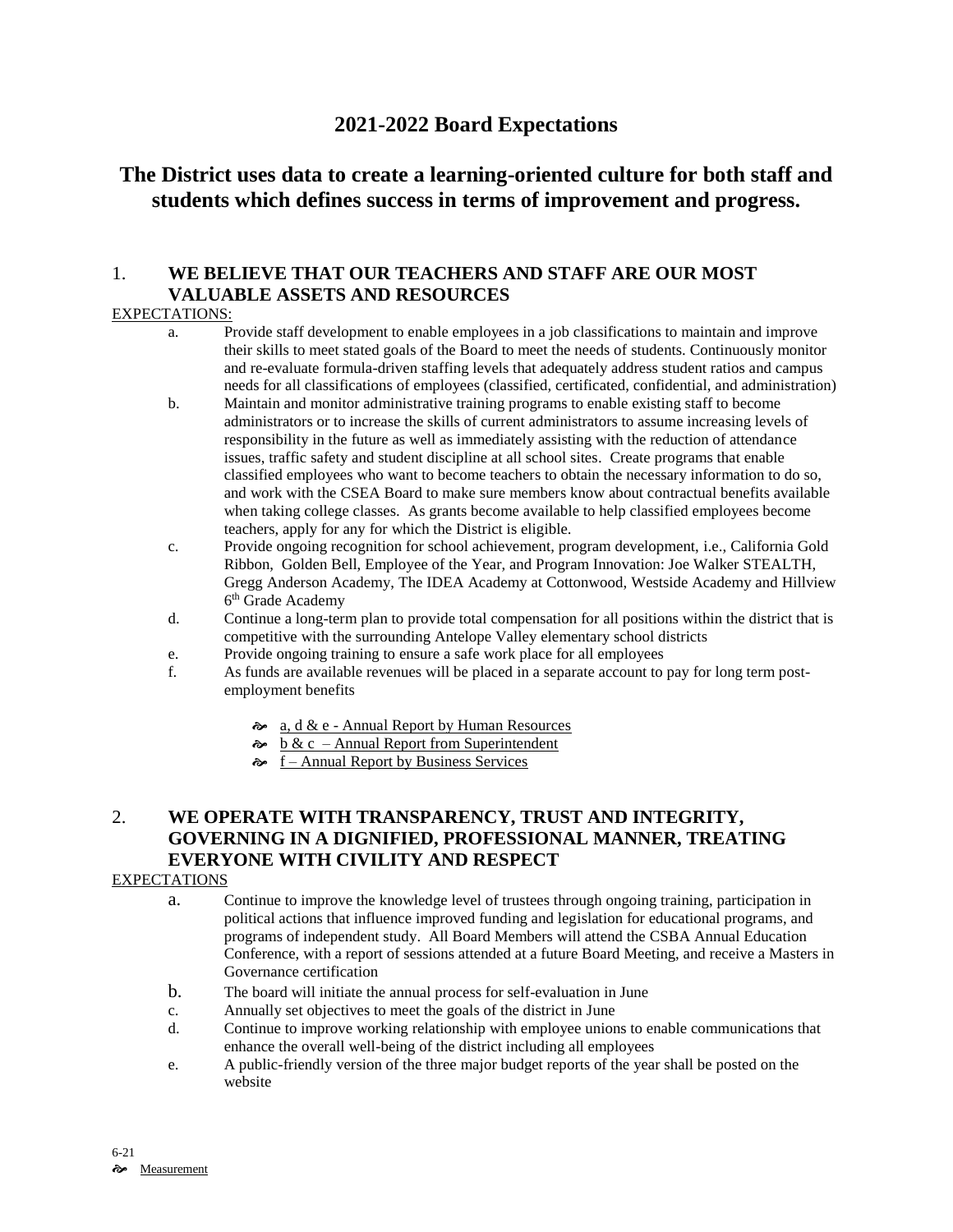## **2021-2022 Board Expectations**

# **The District uses data to create a learning-oriented culture for both staff and students which defines success in terms of improvement and progress.**

## 1. **WE BELIEVE THAT OUR TEACHERS AND STAFF ARE OUR MOST VALUABLE ASSETS AND RESOURCES**

### EXPECTATIONS:

- a. Provide staff development to enable employees in a job classifications to maintain and improve their skills to meet stated goals of the Board to meet the needs of students. Continuously monitor and re-evaluate formula-driven staffing levels that adequately address student ratios and campus needs for all classifications of employees (classified, certificated, confidential, and administration)
- b. Maintain and monitor administrative training programs to enable existing staff to become administrators or to increase the skills of current administrators to assume increasing levels of responsibility in the future as well as immediately assisting with the reduction of attendance issues, traffic safety and student discipline at all school sites. Create programs that enable classified employees who want to become teachers to obtain the necessary information to do so, and work with the CSEA Board to make sure members know about contractual benefits available when taking college classes. As grants become available to help classified employees become teachers, apply for any for which the District is eligible.
- c. Provide ongoing recognition for school achievement, program development, i.e., California Gold Ribbon, Golden Bell, Employee of the Year, and Program Innovation: Joe Walker STEALTH, Gregg Anderson Academy, The IDEA Academy at Cottonwood, Westside Academy and Hillview 6<sup>th</sup> Grade Academy
- d. Continue a long-term plan to provide total compensation for all positions within the district that is competitive with the surrounding Antelope Valley elementary school districts
- e. Provide ongoing training to ensure a safe work place for all employees
- f. As funds are available revenues will be placed in a separate account to pay for long term postemployment benefits
	- a, d & e Annual Report by Human Resources
	- $\approx$  b & c Annual Report from Superintendent
	- $\approx$  f Annual Report by Business Services

## 2. **WE OPERATE WITH TRANSPARENCY, TRUST AND INTEGRITY, GOVERNING IN A DIGNIFIED, PROFESSIONAL MANNER, TREATING EVERYONE WITH CIVILITY AND RESPECT**

#### **EXPECTATIONS**

- a. Continue to improve the knowledge level of trustees through ongoing training, participation in political actions that influence improved funding and legislation for educational programs, and programs of independent study. All Board Members will attend the CSBA Annual Education Conference, with a report of sessions attended at a future Board Meeting, and receive a Masters in Governance certification
- b. The board will initiate the annual process for self-evaluation in June
- c. Annually set objectives to meet the goals of the district in June
- d. Continue to improve working relationship with employee unions to enable communications that enhance the overall well-being of the district including all employees
- e. A public-friendly version of the three major budget reports of the year shall be posted on the website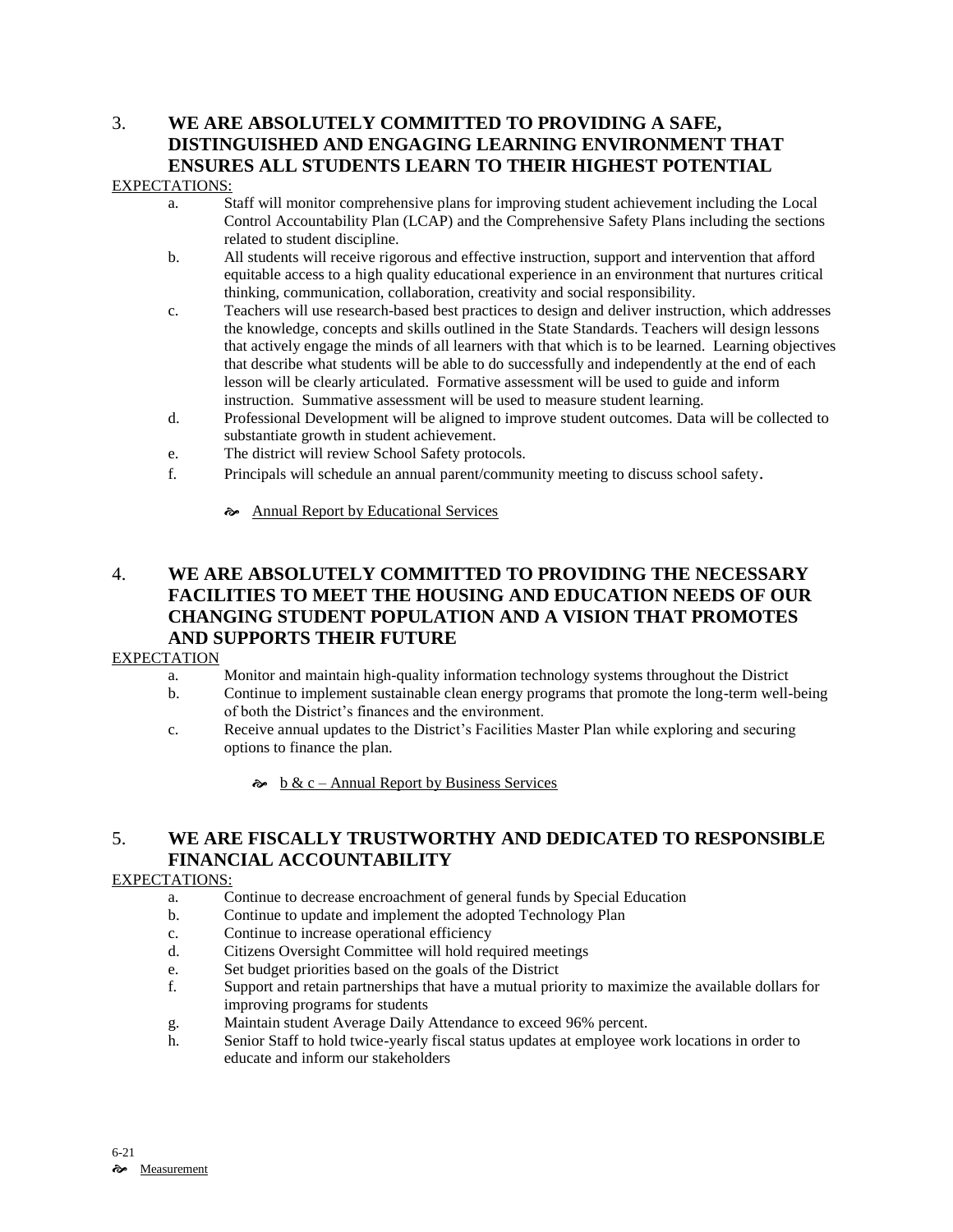# 3. **WE ARE ABSOLUTELY COMMITTED TO PROVIDING A SAFE, DISTINGUISHED AND ENGAGING LEARNING ENVIRONMENT THAT ENSURES ALL STUDENTS LEARN TO THEIR HIGHEST POTENTIAL**

#### EXPECTATIONS:

- a. Staff will monitor comprehensive plans for improving student achievement including the Local Control Accountability Plan (LCAP) and the Comprehensive Safety Plans including the sections related to student discipline.
- b. All students will receive rigorous and effective instruction, support and intervention that afford equitable access to a high quality educational experience in an environment that nurtures critical thinking, communication, collaboration, creativity and social responsibility.
- c. Teachers will use research-based best practices to design and deliver instruction, which addresses the knowledge, concepts and skills outlined in the State Standards. Teachers will design lessons that actively engage the minds of all learners with that which is to be learned. Learning objectives that describe what students will be able to do successfully and independently at the end of each lesson will be clearly articulated. Formative assessment will be used to guide and inform instruction. Summative assessment will be used to measure student learning.
- d. Professional Development will be aligned to improve student outcomes. Data will be collected to substantiate growth in student achievement.
- e. The district will review School Safety protocols.
- f. Principals will schedule an annual parent/community meeting to discuss school safety.
	- Annual Report by Educational Services

## 4. **WE ARE ABSOLUTELY COMMITTED TO PROVIDING THE NECESSARY FACILITIES TO MEET THE HOUSING AND EDUCATION NEEDS OF OUR CHANGING STUDENT POPULATION AND A VISION THAT PROMOTES AND SUPPORTS THEIR FUTURE**

#### **EXPECTATION**

- a. Monitor and maintain high-quality information technology systems throughout the District
- b. Continue to implement sustainable clean energy programs that promote the long-term well-being of both the District's finances and the environment.
- c. Receive annual updates to the District's Facilities Master Plan while exploring and securing options to finance the plan.
	- $\phi$  b & c Annual Report by Business Services

## 5. **WE ARE FISCALLY TRUSTWORTHY AND DEDICATED TO RESPONSIBLE FINANCIAL ACCOUNTABILITY**

#### EXPECTATIONS:

- a. Continue to decrease encroachment of general funds by Special Education
- b. Continue to update and implement the adopted Technology Plan
- c. Continue to increase operational efficiency
- d. Citizens Oversight Committee will hold required meetings
- e. Set budget priorities based on the goals of the District
- f. Support and retain partnerships that have a mutual priority to maximize the available dollars for improving programs for students
- g. Maintain student Average Daily Attendance to exceed 96% percent.
- h. Senior Staff to hold twice-yearly fiscal status updates at employee work locations in order to educate and inform our stakeholders